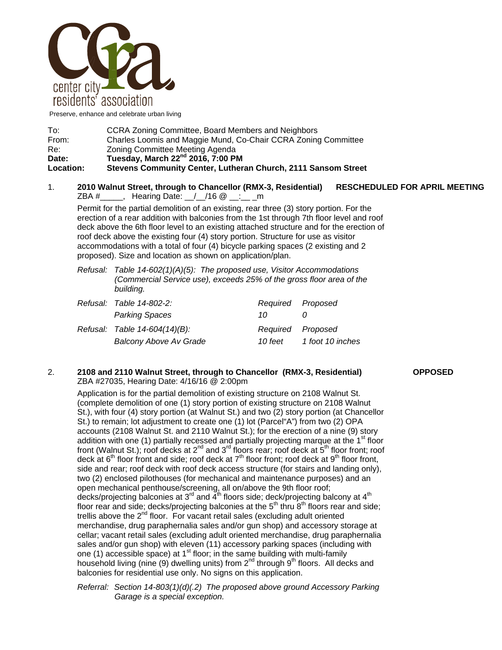

Preserve, enhance and celebrate urban living

| To:              | CCRA Zoning Committee, Board Members and Neighbors             |  |
|------------------|----------------------------------------------------------------|--|
| From:            | Charles Loomis and Maggie Mund, Co-Chair CCRA Zoning Committee |  |
| Re:              | Zoning Committee Meeting Agenda                                |  |
| Date:            | Tuesday, March 22 <sup>nd</sup> 2016, 7:00 PM                  |  |
| <b>Location:</b> | Stevens Community Center, Lutheran Church, 2111 Sansom Street  |  |

## 1. **2010 Walnut Street, through to Chancellor (RMX-3, Residential) RESCHEDULED FOR APRIL MEETING**   $ZBA #$ , Hearing Date: / /16  $@$ : m

Permit for the partial demolition of an existing, rear three (3) story portion. For the erection of a rear addition with balconies from the 1st through 7th floor level and roof deck above the 6th floor level to an existing attached structure and for the erection of roof deck above the existing four (4) story portion. Structure for use as visitor accommodations with a total of four (4) bicycle parking spaces (2 existing and 2 proposed). Size and location as shown on application/plan.

| Refusal: Table $14$ -602(1)(A)(5): The proposed use, Visitor Accommodations |
|-----------------------------------------------------------------------------|
| (Commercial Service use), exceeds 25% of the gross floor area of the        |
| building.                                                                   |

| Refusal: Table 14-802-2:      | Required Proposed |                  |
|-------------------------------|-------------------|------------------|
| <b>Parking Spaces</b>         | 10.               |                  |
| Refusal: Table 14-604(14)(B): | Required Proposed |                  |
| <b>Balcony Above Av Grade</b> | 10 feet           | 1 foot 10 inches |

## 2. **2108 and 2110 Walnut Street, through to Chancellor (RMX-3, Residential) OPPOSED**  ZBA #27035, Hearing Date: 4/16/16 @ 2:00pm

Application is for the partial demolition of existing structure on 2108 Walnut St. (complete demolition of one (1) story portion of existing structure on 2108 Walnut St.), with four (4) story portion (at Walnut St.) and two (2) story portion (at Chancellor St.) to remain; lot adjustment to create one (1) lot (Parcel"A") from two (2) OPA accounts (2108 Walnut St. and 2110 Walnut St.); for the erection of a nine (9) story addition with one (1) partially recessed and partially projecting marque at the  $1<sup>st</sup>$  floor front (Walnut St.); roof decks at 2<sup>nd</sup> and 3<sup>rd</sup> floors rear; roof deck at 5<sup>th</sup> floor front; roof deck at 6<sup>th</sup> floor front and side; roof deck at 7<sup>th</sup> floor front; roof deck at 9<sup>th</sup> floor front, side and rear; roof deck with roof deck access structure (for stairs and landing only), two (2) enclosed pilothouses (for mechanical and maintenance purposes) and an open mechanical penthouse/screening, all on/above the 9th floor roof; decks/projecting balconies at 3<sup>rd</sup> and  $\overline{4}^{th}$  floors side; deck/projecting balcony at  $4^{th}$ floor rear and side; decks/projecting balconies at the  $5<sup>th</sup>$  thru  $8<sup>th</sup>$  floors rear and side; trellis above the  $2<sup>nd</sup>$  floor. For vacant retail sales (excluding adult oriented merchandise, drug paraphernalia sales and/or gun shop) and accessory storage at cellar; vacant retail sales (excluding adult oriented merchandise, drug paraphernalia sales and/or gun shop) with eleven (11) accessory parking spaces (including with one (1) accessible space) at  $1<sup>st</sup>$  floor; in the same building with multi-family household living (nine (9) dwelling units) from 2<sup>nd</sup> through 9<sup>th</sup> floors. All decks and balconies for residential use only. No signs on this application.

*Referral: Section 14-803(1)(d)(.2) The proposed above ground Accessory Parking Garage is a special exception.*